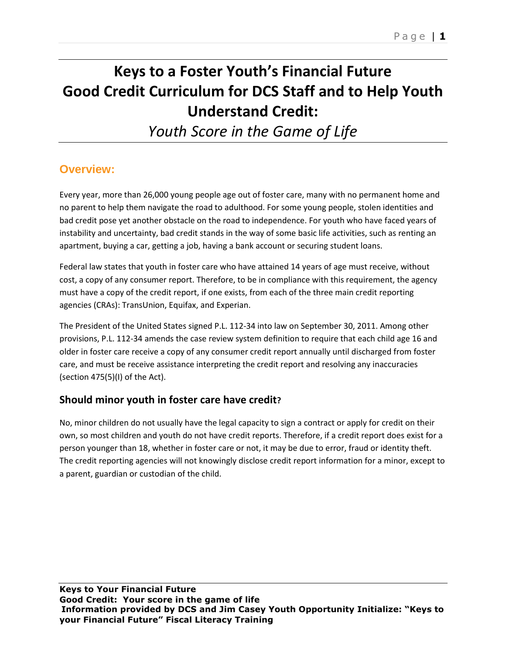# **Keys to a Foster Youth's Financial Future Good Credit Curriculum for DCS Staff and to Help Youth Understand Credit:**

*Youth Score in the Game of Life*

# **Overview:**

Every year, more than 26,000 young people age out of foster care, many with no permanent home and no parent to help them navigate the road to adulthood. For some young people, stolen identities and bad credit pose yet another obstacle on the road to independence. For youth who have faced years of instability and uncertainty, bad credit stands in the way of some basic life activities, such as renting an apartment, buying a car, getting a job, having a bank account or securing student loans.

Federal law states that youth in foster care who have attained 14 years of age must receive, without cost, a copy of any consumer report. Therefore, to be in compliance with this requirement, the agency must have a copy of the credit report, if one exists, from each of the three main credit reporting agencies (CRAs): TransUnion, Equifax, and Experian.

The President of the United States signed P.L. 112-34 into law on September 30, 2011. Among other provisions, P.L. 112-34 amends the case review system definition to require that each child age 16 and older in foster care receive a copy of any consumer credit report annually until discharged from foster care, and must be receive assistance interpreting the credit report and resolving any inaccuracies (section 475(5)(I) of the Act).

# **Should minor youth in foster care have credit?**

No, minor children do not usually have the legal capacity to sign a contract or apply for credit on their own, so most children and youth do not have credit reports. Therefore, if a credit report does exist for a person younger than 18, whether in foster care or not, it may be due to error, fraud or identity theft. The credit reporting agencies will not knowingly disclose credit report information for a minor, except to a parent, guardian or custodian of the child.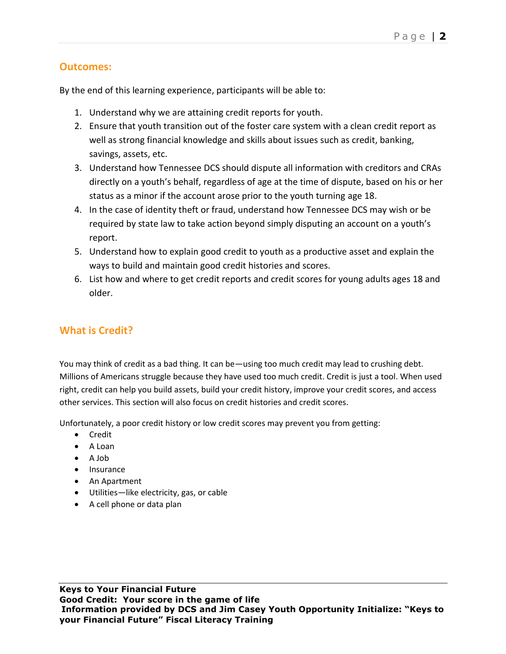### **Outcomes:**

By the end of this learning experience, participants will be able to:

- 1. Understand why we are attaining credit reports for youth.
- 2. Ensure that youth transition out of the foster care system with a clean credit report as well as strong financial knowledge and skills about issues such as credit, banking, savings, assets, etc.
- 3. Understand how Tennessee DCS should dispute all information with creditors and CRAs directly on a youth's behalf, regardless of age at the time of dispute, based on his or her status as a minor if the account arose prior to the youth turning age 18.
- 4. In the case of identity theft or fraud, understand how Tennessee DCS may wish or be required by state law to take action beyond simply disputing an account on a youth's report.
- 5. Understand how to explain good credit to youth as a productive asset and explain the ways to build and maintain good credit histories and scores.
- 6. List how and where to get credit reports and credit scores for young adults ages 18 and older.

# **What is Credit?**

You may think of credit as a bad thing. It can be—using too much credit may lead to crushing debt. Millions of Americans struggle because they have used too much credit. Credit is just a tool. When used right, credit can help you build assets, build your credit history, improve your credit scores, and access other services. This section will also focus on credit histories and credit scores.

Unfortunately, a poor credit history or low credit scores may prevent you from getting:

- Credit
- A Loan
- A Job
- Insurance
- An Apartment
- Utilities—like electricity, gas, or cable
- A cell phone or data plan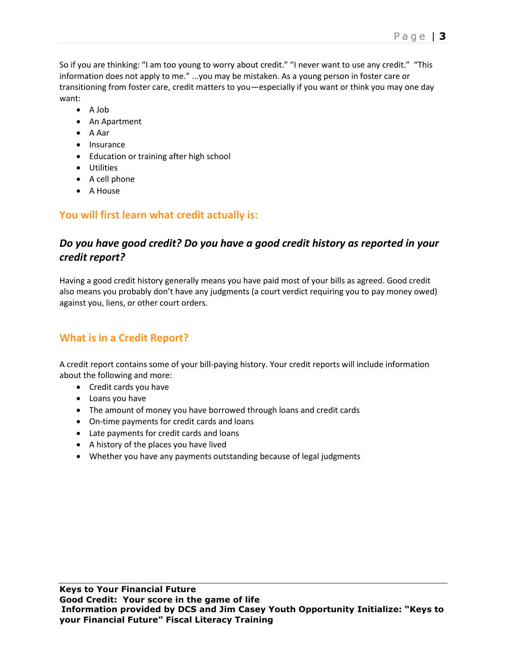So if you are thinking: "I am too young to worry about credit." "I never want to use any credit." "This information does not apply to me." ...you may be mistaken. As a young person in foster care or transitioning from foster care, credit matters to you—especially if you want or think you may one day want:

- A Job
- An Apartment
- A Aar
- Insurance
- Education or training after high school
- Utilities
- A cell phone
- A House

# **You will first learn what credit actually is:**

# *Do you have good credit? Do you have a good credit history as reported in your credit report?*

Having a good credit history generally means you have paid most of your bills as agreed. Good credit also means you probably don't have any judgments (a court verdict requiring you to pay money owed) against you, liens, or other court orders.

# **What is in a Credit Report?**

A credit report contains some of your bill-paying history. Your credit reports will include information about the following and more:

- Credit cards you have
- Loans you have
- The amount of money you have borrowed through loans and credit cards
- On-time payments for credit cards and loans
- Late payments for credit cards and loans
- A history of the places you have lived
- Whether you have any payments outstanding because of legal judgments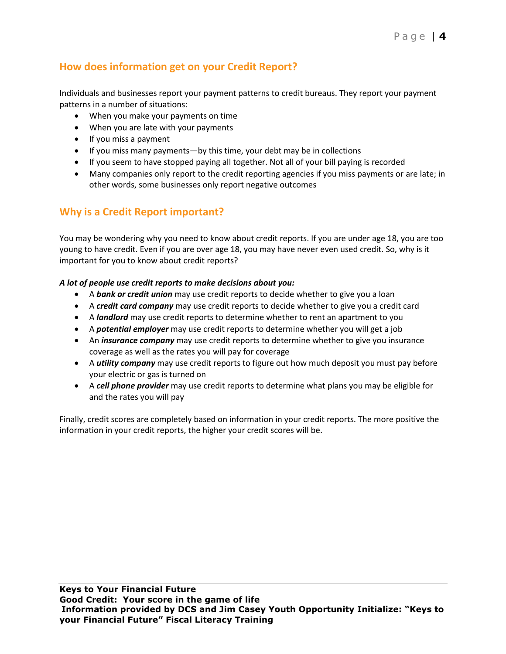# **How does information get on your Credit Report?**

Individuals and businesses report your payment patterns to credit bureaus. They report your payment patterns in a number of situations:

- When you make your payments on time
- When you are late with your payments
- If you miss a payment
- If you miss many payments—by this time, your debt may be in collections
- If you seem to have stopped paying all together. Not all of your bill paying is recorded
- Many companies only report to the credit reporting agencies if you miss payments or are late; in other words, some businesses only report negative outcomes

# **Why is a Credit Report important?**

You may be wondering why you need to know about credit reports. If you are under age 18, you are too young to have credit. Even if you are over age 18, you may have never even used credit. So, why is it important for you to know about credit reports?

#### *A lot of people use credit reports to make decisions about you:*

- A *bank or credit union* may use credit reports to decide whether to give you a loan
- A *credit card company* may use credit reports to decide whether to give you a credit card
- A *landlord* may use credit reports to determine whether to rent an apartment to you
- A *potential employer* may use credit reports to determine whether you will get a job
- An *insurance company* may use credit reports to determine whether to give you insurance coverage as well as the rates you will pay for coverage
- A *utility company* may use credit reports to figure out how much deposit you must pay before your electric or gas is turned on
- A *cell phone provider* may use credit reports to determine what plans you may be eligible for and the rates you will pay

Finally, credit scores are completely based on information in your credit reports. The more positive the information in your credit reports, the higher your credit scores will be.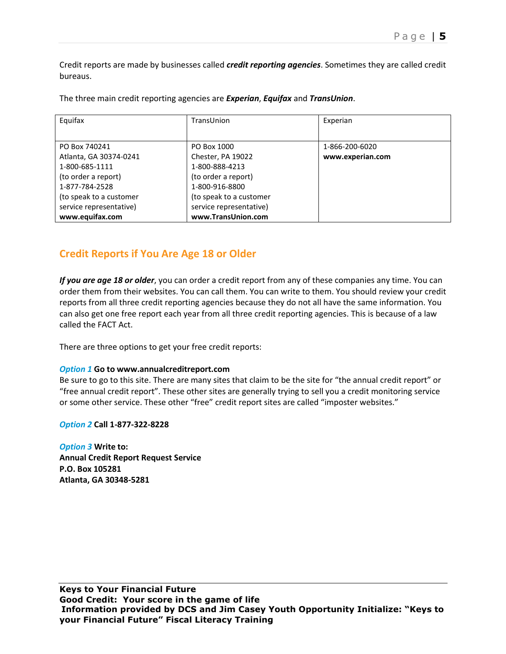Credit reports are made by businesses called *credit reporting agencies*. Sometimes they are called credit bureaus.

The three main credit reporting agencies are *Experian*, *Equifax* and *TransUnion*.

| Equifax                 | TransUnion              | Experian         |
|-------------------------|-------------------------|------------------|
|                         |                         |                  |
| PO Box 740241           | PO Box 1000             | 1-866-200-6020   |
| Atlanta, GA 30374-0241  | Chester, PA 19022       | www.experian.com |
| 1-800-685-1111          | 1-800-888-4213          |                  |
| (to order a report)     | (to order a report)     |                  |
| 1-877-784-2528          | 1-800-916-8800          |                  |
| (to speak to a customer | (to speak to a customer |                  |
| service representative) | service representative) |                  |
| www.equifax.com         | www.TransUnion.com      |                  |

### **Credit Reports if You Are Age 18 or Older**

*If you are age 18 or older*, you can order a credit report from any of these companies any time. You can order them from their websites. You can call them. You can write to them. You should review your credit reports from all three credit reporting agencies because they do not all have the same information. You can also get one free report each year from all three credit reporting agencies. This is because of a law called the FACT Act.

There are three options to get your free credit reports:

#### *Option 1* **Go to www.annualcreditreport.com**

Be sure to go to this site. There are many sites that claim to be the site for "the annual credit report" or "free annual credit report". These other sites are generally trying to sell you a credit monitoring service or some other service. These other "free" credit report sites are called "imposter websites."

*Option 2* **Call 1-877-322-8228**

*Option 3* **Write to: Annual Credit Report Request Service P.O. Box 105281 Atlanta, GA 30348-5281**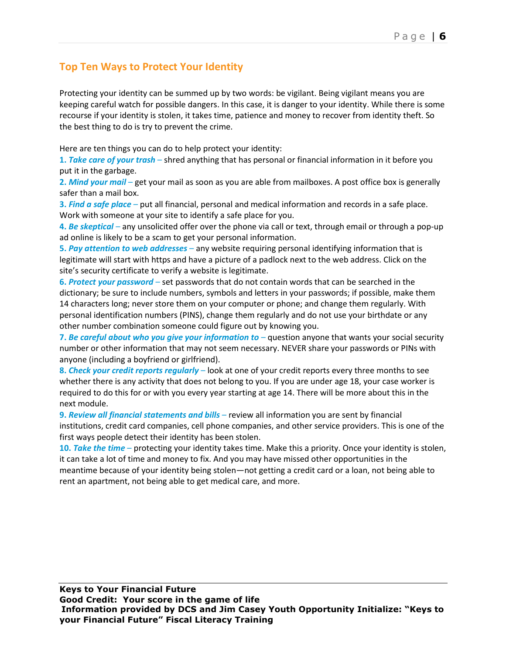# **Top Ten Ways to Protect Your Identity**

Protecting your identity can be summed up by two words: be vigilant. Being vigilant means you are keeping careful watch for possible dangers. In this case, it is danger to your identity. While there is some recourse if your identity is stolen, it takes time, patience and money to recover from identity theft. So the best thing to do is try to prevent the crime.

Here are ten things you can do to help protect your identity:

**1.** *Take care of your trash* – shred anything that has personal or financial information in it before you put it in the garbage.

**2.** *Mind your mail* – get your mail as soon as you are able from mailboxes. A post office box is generally safer than a mail box.

**3.** *Find a safe place* – put all financial, personal and medical information and records in a safe place. Work with someone at your site to identify a safe place for you.

**4.** *Be skeptical* – any unsolicited offer over the phone via call or text, through email or through a pop-up ad online is likely to be a scam to get your personal information.

**5.** *Pay attention to web addresses* – any website requiring personal identifying information that is legitimate will start with https and have a picture of a padlock next to the web address. Click on the site's security certificate to verify a website is legitimate.

**6.** *Protect your password* – set passwords that do not contain words that can be searched in the dictionary; be sure to include numbers, symbols and letters in your passwords; if possible, make them 14 characters long; never store them on your computer or phone; and change them regularly. With personal identification numbers (PINS), change them regularly and do not use your birthdate or any other number combination someone could figure out by knowing you.

**7.** *Be careful about who you give your information to* – question anyone that wants your social security number or other information that may not seem necessary. NEVER share your passwords or PINs with anyone (including a boyfriend or girlfriend).

**8.** *Check your credit reports regularly* – look at one of your credit reports every three months to see whether there is any activity that does not belong to you. If you are under age 18, your case worker is required to do this for or with you every year starting at age 14. There will be more about this in the next module.

**9.** *Review all financial statements and bills* – review all information you are sent by financial institutions, credit card companies, cell phone companies, and other service providers. This is one of the first ways people detect their identity has been stolen.

**10.** *Take the time* – protecting your identity takes time. Make this a priority. Once your identity is stolen, it can take a lot of time and money to fix. And you may have missed other opportunities in the meantime because of your identity being stolen—not getting a credit card or a loan, not being able to rent an apartment, not being able to get medical care, and more.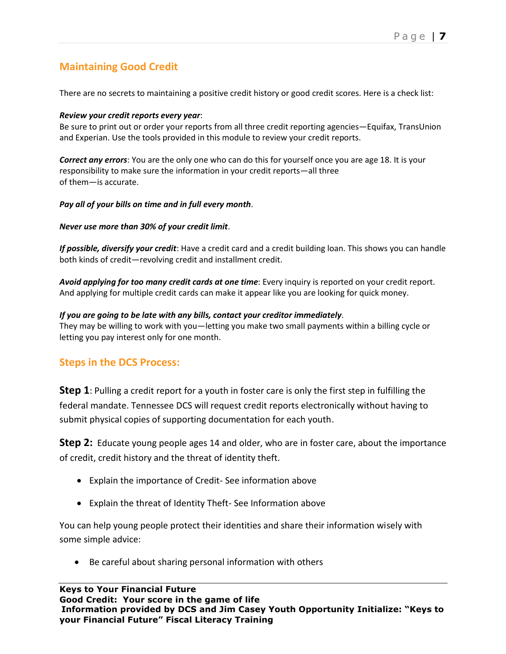# **Maintaining Good Credit**

There are no secrets to maintaining a positive credit history or good credit scores. Here is a check list:

#### *Review your credit reports every year*:

Be sure to print out or order your reports from all three credit reporting agencies—Equifax, TransUnion and Experian. Use the tools provided in this module to review your credit reports.

*Correct any errors*: You are the only one who can do this for yourself once you are age 18. It is your responsibility to make sure the information in your credit reports—all three of them—is accurate.

#### *Pay all of your bills on time and in full every month*.

#### *Never use more than 30% of your credit limit*.

*If possible, diversify your credit*: Have a credit card and a credit building loan. This shows you can handle both kinds of credit—revolving credit and installment credit.

*Avoid applying for too many credit cards at one time*: Every inquiry is reported on your credit report. And applying for multiple credit cards can make it appear like you are looking for quick money.

#### *If you are going to be late with any bills, contact your creditor immediately*.

They may be willing to work with you—letting you make two small payments within a billing cycle or letting you pay interest only for one month.

### **Steps in the DCS Process:**

**Step 1**: Pulling a credit report for a youth in foster care is only the first step in fulfilling the federal mandate. Tennessee DCS will request credit reports electronically without having to submit physical copies of supporting documentation for each youth.

**Step 2:** Educate young people ages 14 and older, who are in foster care, about the importance of credit, credit history and the threat of identity theft.

- Explain the importance of Credit- See information above
- Explain the threat of Identity Theft- See Information above

You can help young people protect their identities and share their information wisely with some simple advice:

• Be careful about sharing personal information with others